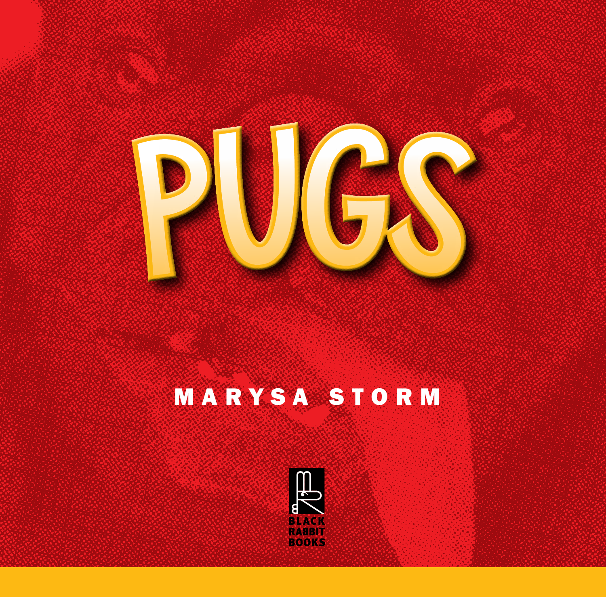

## MARYSA STORM

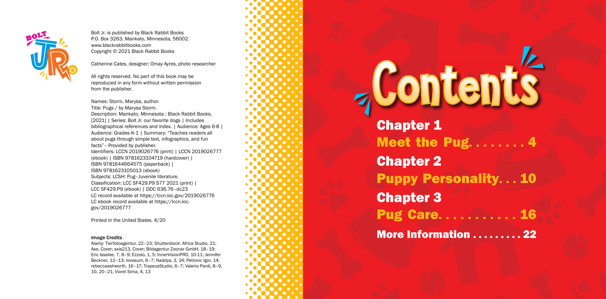Chapter 1 Chapter 2 Chapter 3

## **Contents**

- Meet the Pug... 4 Puppy Personality. . . 10
- **Pug Care. . . . . . . . . .**
- **More Information ......... 22**



Bolt Jr. is published by Black Rabbit Books P.O. Box 3263, Mankato, Minnesota, 56002. www.blackrabbitbooks.com Copyright © 2021 Black Rabbit Books

Catherine Cates, designer; Omay Ayres, photo researcher

All rights reserved. No part of this book may be reproduced in any form without written permission from the publisher.

Names: Storm, Marysa, author. Title: Pugs / by Marysa Storm. Description: Mankato, Minnesota : Black Rabbit Books, [2021] | Series: Bolt Jr. our favorite dogs | Includes bibliographical references and index. | Audience: Ages 6-8 | Audience: Grades K-1 | Summary: "Teaches readers all about pugs through simple text, infographics, and fun facts"– Provided by publisher. Identifiers: LCCN 2019026776 (print) | LCCN 2019026777 (ebook) | ISBN 9781623104719 (hardcover) | ISBN 9781644664575 (paperback) | ISBN 9781623105013 (ebook) Subjects: LCSH: Pug–Juvenile literature. Classification: LCC SF429.P9 S77 2021 (print) | LCC SF429.P9 (ebook) | DDC 636.76–dc23 LC record available at https://lccn.loc.gov/2019026776 LC ebook record available at https://lccn.loc. gov/2019026777

Printed in the United States. 4/20

## Image Credits

Alamy: Tierfotoagentur, 22–23; Shutterstock: Africa Studio, 21; Ase, Cover; axis213, Cover; Bildagentur Zoonar GmbH, 18–19; Eric Isselee, 7, 8–9; Ezzolo, 1, 5; InnerVisionPRO, 10-11; Jennifer Beckner, 12–13; loveaum, 6–7; Naddya, 3, 24; Petrovic Igor, 14; rebeccaashworth, 16–17; TrapezaStudio, 6–7; Valerio Pardi, 8–9, 10, 20–21; Viorel Sima, 4, 13

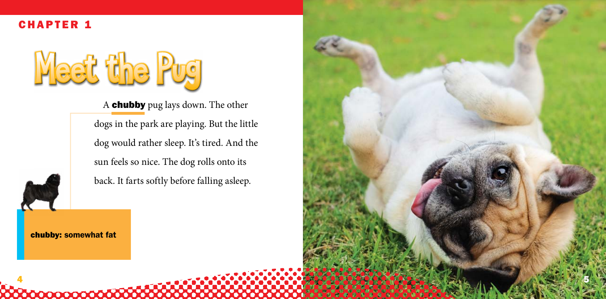

**000000000000000** 

A

A chubby pug lays down. The other dogs in the park are playing. But the little dog would rather sleep. It's tired. And the sun feels so nice. The dog rolls onto its back. It farts softly before falling asleep.

Meet the Pug



CHAPTER 1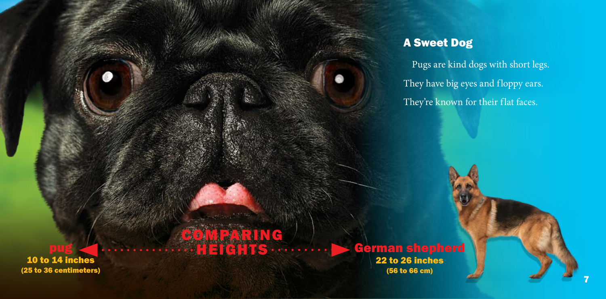Pugs are kind dogs with short legs. They have big eyes and floppy ears. They're known for their flat faces.